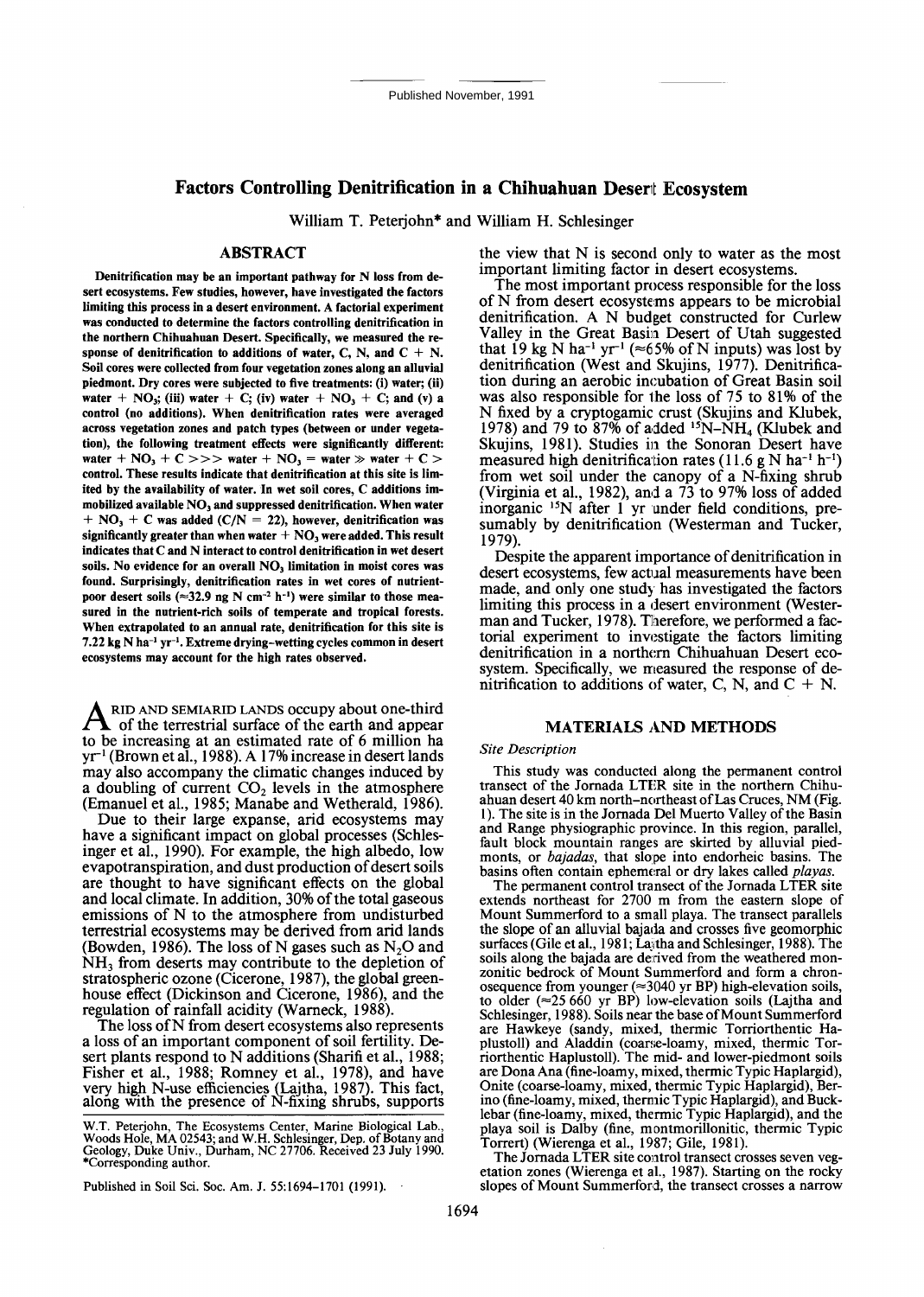# **Factors Controlling Denitrification in a Chihuahuan Desent Ecosystem**

William T. Peterjohn\* and William H. Schlesinger

# **ABSTRACT**

**Denitrification may be an important pathway for N loss from desert ecosystems. Few studies, however, have investigated the factors limiting this process in a desert environment. A factorial experiment was conducted to determine the factors controlling denitrification in the northern Chihuahuan Desert. Specifically, we measured the re**sponse of denitrification to additions of water,  $C$ ,  $N$ , and  $C + N$ . **Soil cores were collected from four vegetation zones along an alluvial piedmont. Dry cores were subjected to five treatments: (i) water; (ii)** water  $+$  NO<sub>3</sub><sup></sup>; (iii) water  $+$  C; (iv) water  $+$  NO<sub>3</sub>  $+$  C; and (v) a **control (no additions). When denitrification rates were averaged across vegetation zones and patch types (between or under vegetation), the following treatment effects were significantly different:**  $\text{water} + \text{NO}_3 + \text{C} >> \text{water} + \text{NO}_3 = \text{water} \gg \text{water} + \text{C} >$ **control. These results indicate that denitrification at this site is limited by the availability of water. In wet soil cores,** *C* **additions immobilized available NO3 and suppressed denitrification. When water**  $+ NO<sub>3</sub> + C$  was added ( $C/N = 22$ ), however, denitrification was **significantly greater than when water + NO3 were added. This result indicates that C and N interact to control denitrification in wet desert soils. No evidence for an overall NO, limitation in moist cores was found. Surprisingly, denitrification rates in wet cores of nutrientpoor desert soils (=32.9 ng N cm-<sup>2</sup> Ir<sup>1</sup> ) were similar to those measured in the nutrient-rich soils of temperate and tropical forests. When extrapolated to an annual rate, denitrification for this site is 7.22 kg N ha"<sup>1</sup>**  *yr<sup>1</sup> .* **Extreme drying-wetting cycles common in desert ecosystems may account for the high rates observed.**

A RID AND SEMIARID LANDS occupy about one-third<br>to be increasing at an estimated rate of 6 million ha RID AND SEMIARID LANDS occupy about one-third of the terrestrial surface of the earth and appear  $yr^{-1}$  (Brown et al., 1988). A 17% increase in desert lands may also accompany the climatic changes induced by a doubling of current  $CO<sub>2</sub>$  levels in the atmosphere (Emanuel et al., 1985; Manabe and Wetherald, 1986).

Due to their large expanse, arid ecosystems may have a significant impact on global processes (Schlesinger et al., 1990). For example, the high albedo, low evapotranspiration, and dust production of desert soils are thought to have significant effects on the global and local climate. In addition, 30% of the total gaseous emissions of N to the atmosphere from undisturbed terrestrial ecosystems may be derived from arid lands (Bowden, 1986). The loss of N gases such as  $N_2O$  and  $NH<sub>3</sub>$  from deserts may contribute to the depletion of stratospheric ozone (Cicerone, 1987), the global greenhouse effect (Dickinson and Cicerone, 1986), and the regulation of rainfall acidity (Warneck, 1988).

The loss of N from desert ecosystems also represents a loss of an important component of soil fertility. Desert plants respond to N additions (Sharifi et al., 1988; Fisher et al., 1988; Romney et al., 1978), and have very high N-use efficiencies (Lajtha, 1987). This fact, along with the presence of N-fixing shrubs, supports

Published in Soil Sci. Soc. Am. J. 55:1694-1701 (1991).

The most important process responsible for the loss

the view that N is second only to water as the most important limiting factor in desert ecosystems.

of N from desert ecosystems appears to be microbial denitrification. A N budget constructed for Curlew Valley in the Great Basin Desert of Utah suggested that 19 kg N ha<sup>-1</sup> yr<sup>-1</sup> ( $\approx$ 65% of N inputs) was lost by denitrification (West and Skujins, 1977). Denitrification during an aerobic incubation of Great Basin soil was also responsible for the loss of 75 to 81% of the N fixed by a cryptogamic crust (Skujins and Klubek, 1978) and 79 to 87% of added  $15N-NH_4$  (Klubek and Skujins, 1981). Studies in the Sonoran Desert have measured high denitrification rates  $(11.6 \text{ g N} \text{ ha}^{-1} \text{ h}^{-1})$ from wet soil under the canopy of a N-fixing shrub (Virginia et al., 1982), and a  $73$  to 97% loss of added inorganic <sup>15</sup>N after 1 yr under field conditions, presumably by denitrification (Westerman and Tucker, 1979).

Despite the apparent importance of denitrification in desert ecosystems, few actual measurements have been made, and only one study has investigated the factors limiting this process in a desert environment (Westerman and Tucker, 1978). Therefore, we performed a factorial experiment to investigate the factors limiting denitrification in a northern Chihuahuan Desert ecosystem. Specifically, we measured the response of denitrification to additions of water, C, N, and  $C + N$ .

### **MATERIALS AND METHODS**

#### *Site Description*

This study was conducted along the permanent control transect of the Jornada LTER site in the northern Chihuahuan desert 40 km north-northeast of Las Cruces, NM (Fig. 1). The site is in the Jornada Del Muerto Valley of the Basin and Range physiographic province. In this region, parallel, fault block mountain ranges are skirted by alluvial piedmonts, or *bajadas,* that slope into endorheic basins. The basins often contain ephemeral or dry lakes called *playas.*

The permanent control transect of the Jornada LTER site extends northeast for 2700 m from the eastern slope of Mount Summerford to a small playa. The transect parallels the slope of an alluvial bajada and crosses five geomorphic surfaces (Gile et al., 1981; Laitha and Schlesinger, 1988). The soils along the bajada are derived from the weathered monzonitic bedrock of Mount Summerford and form a chronosequence from younger  $(\approx)3040$  yr BP) high-elevation soils, to older  $(\approx 25\,660\,yr\,BP)$  low-elevation soils (Lajtha and Schlesinger, 1988). Soils near the base of Mount Summerford are Hawkeye (sandy, mixed, thermic Torriorthentic Haplustoll) and Aladdin (coarse-loamy, mixed, thermic Torriorthentic Haplustoll). The mid- and lower-piedmont soils are Dona Ana (fine-loamy, mixed, thermic Typic Haplargid), Onite (coarse-loamy, mixed, thermic Typic Haplargid), Berino (fine-loamy, mixed, thermic Typic Haplargid), and Bucklebar (fine-loamy, mixed, thermic Typic Haplargid), and the playa soil is Dalby (fine, montmorillonitic, thermic Typic Torrert) (Wierenga et al., 1987; Gile, 1981).

The Jornada LTER site control transect crosses seven vegetation zones (Wierenga et al., 1987). Starting on the rocky slopes of Mount Summerford, the transect crosses a narrow

W.T. Peterjohn, The Ecosystems Center, Marine Biological Lab., Woods Hole, MA 02543; and W.H. Schlesinger, Dep. of Botany and Geology, Duke Univ., Durham, NC 27706. Received 23 July 1990. \*Corresponding author.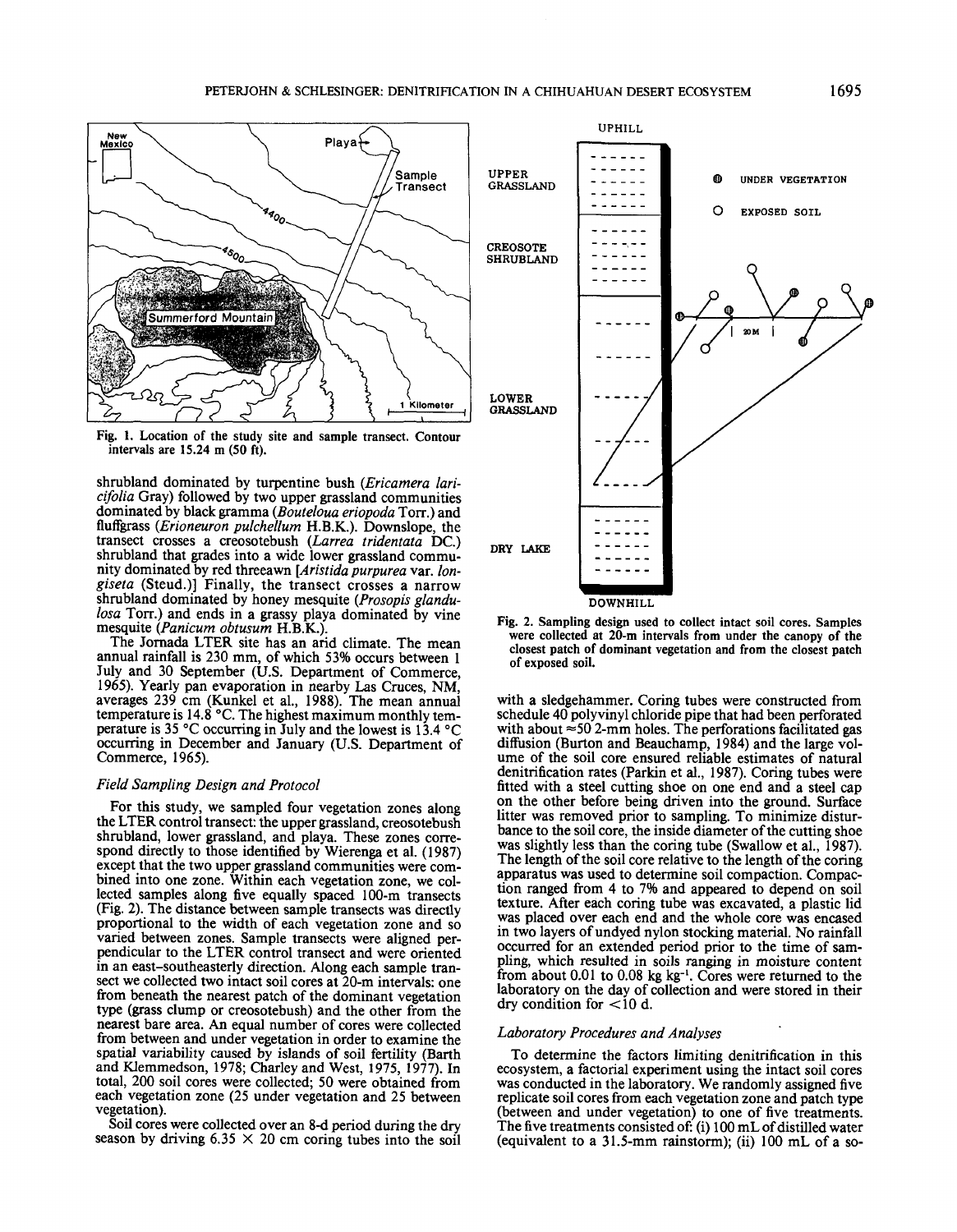

Fig. 1. Location of the study site and sample transect. Contour intervals are 15.24 m (50 ft).

shrubland dominated by turpentine bush *(Ericamera laricifolia* Gray) followed by two upper grassland communities dominated by black gramma *(Bouteloua eriopoda* Torr.) and fluffgrass *(Erioneuron pulchellum* H.B.K.). Downslope, the transect crosses a creosotebush *(Larrea tridentata* DC.) shrubland that grades into a wide lower grassland community dominated by red threeawn *[Aristida purpurea* var. *longiseta* (Steud.)] Finally, the transect crosses a narrow shrubland dominated by honey mesquite *(Prosopis glandulosa* Torr.) and ends in a grassy playa dominated by vine mesquite *(Panicum obtusum* H.B.K.).

The Jornada LTER site has an arid climate. The mean annual rainfall is 230 mm, of which 53% occurs between 1 July and 30 September (U.S. Department of Commerce, 1965). Yearly pan evaporation in nearby Las Cruces, NM, averages 239 cm (Kunkel et al., 1988). The mean annual temperature is 14.8 °C. The highest maximum monthly temperature is 35 °C occurring in July and the lowest is 13.4 °C occurring in December and January (U.S. Department of Commerce, 1965).

### *Field Sampling Design and Protocol*

For this study, we sampled four vegetation zones along the LTER control transect: the upper grassland, creosotebush shrubland, lower grassland, and playa. These zones correspond directly to those identified by Wierenga et al. (1987) except that the two upper grassland communities were combined into one zone. Within each vegetation zone, we collected samples along five equally spaced 100-m transects (Fig. 2). The distance between sample transects was directly proportional to the width of each vegetation zone and so varied between zones. Sample transects were aligned perpendicular to the LTER control transect and were oriented in an east-southeasterly direction. Along each sample transect we collected two intact soil cores at 20-m intervals: one from beneath the nearest patch of the dominant vegetation type (grass clump or creosotebush) and the other from the nearest bare area. An equal number of cores were collected from between and under vegetation in order to examine the spatial variability caused by islands of soil fertility (Barth and Klemmedson, 1978; Charley and West, 1975, 1977). In total, 200 soil cores were collected; 50 were obtained from each vegetation zone (25 under vegetation and 25 between vegetation).

Soil cores were collected over an 8-d period during the dry season by driving  $6.35 \times 20$  cm coring tubes into the soil



Fig. 2. Sampling design used to collect intact soil cores. Samples were collected at  $20$ -m intervals from under the canopy of the closest patch of dominant vegetation and from the closest patch of exposed soil.

with a sledgehammer. Coring tubes were constructed from schedule 40 polyvinyl chloride pipe that had been perforated with about  $\approx 50$  2-mm holes. The perforations facilitated gas diffusion (Burton and Beauchamp, 1984) and the large volume of the soil core ensured reliable estimates of natural denitrification rates (Parkin et al., 1987). Coring tubes were fitted with a steel cutting shoe on one end and a steel cap on the other before being driven into the ground. Surface litter was removed prior to sampling. To minimize disturbance to the soil core, the inside diameter of the cutting shoe was slightly less than the coring tube (Swallow et al., 1987). The length of the soil core relative to the length of the coring apparatus was used to determine soil compaction. Compaction ranged from 4 to 7% and appeared to depend on soil texture. After each coring tube was excavated, a plastic lid was placed over each end and the whole core was encased in two layers of undyed nylon stocking material. No rainfall occurred for an extended period prior to the time of sampling, which resulted in soils ranging in moisture content from about 0.01 to 0.08 kg kg-'. Cores were returned to the laboratory on the day of collection and were stored in their dry condition for  $<$ 10 d.

#### *Laboratory Procedures and Analyses*

To determine the factors limiting denitrification in this ecosystem, a factorial experiment using the intact soil cores was conducted in the laboratory. We randomly assigned five replicate soil cores from each vegetation zone and patch type (between and under vegetation) to one of five treatments. The five treatments consisted of: (i) 100 mL of distilled water (equivalent to a 31.5-mm rainstorm); (ii) 100 mL of a so-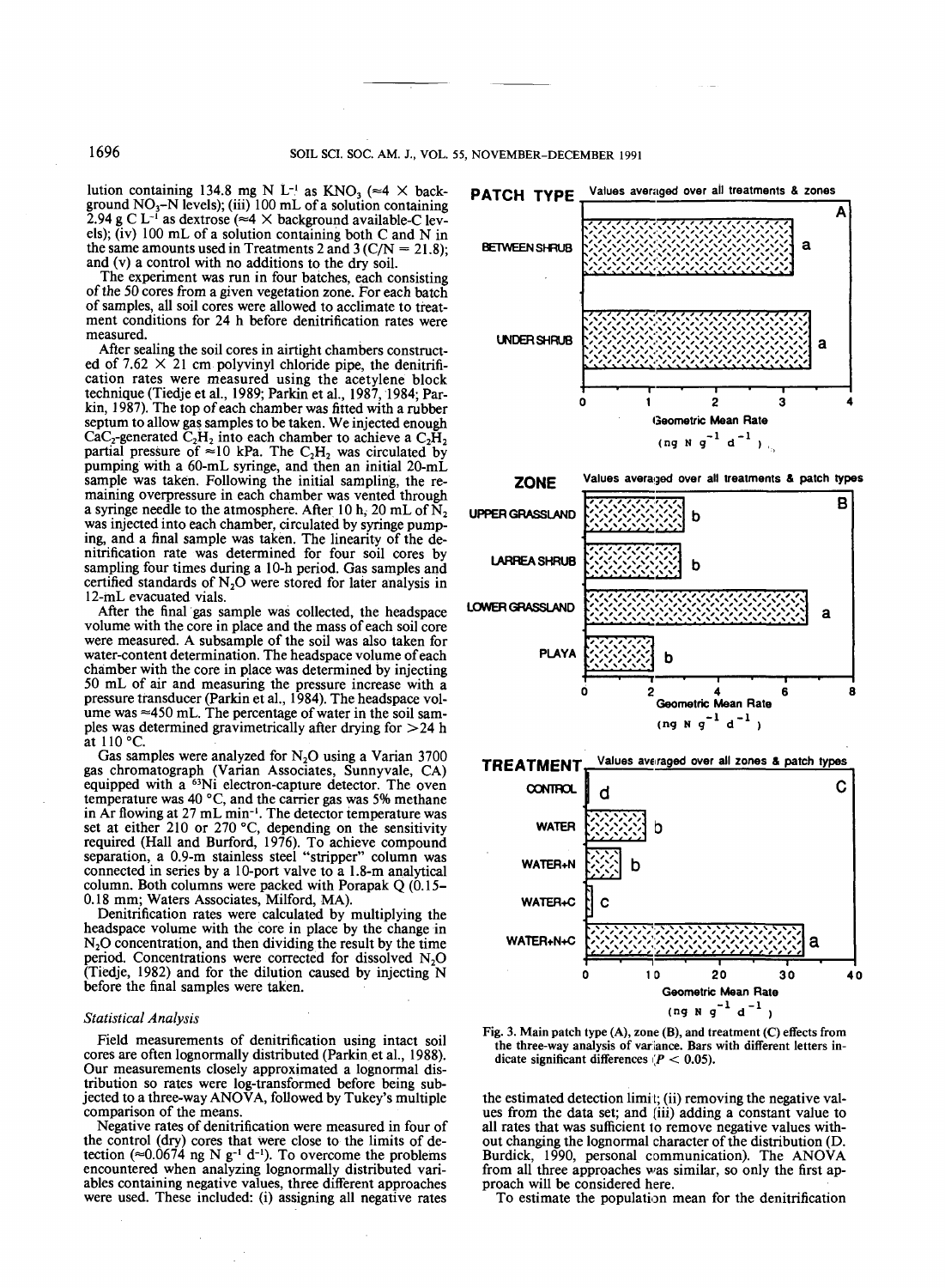lution containing 134.8 mg N L<sup>-1</sup> as KNO<sub>3</sub> ( $\approx$ 4 × background  $NO<sub>3</sub>$ -N levels); (iii) 100 mL of a solution containing 2.94 g C L<sup>-1</sup> as dextrose ( $\approx$  4  $\times$  background available-C levels); (iv) 100 mL of a solution containing both C and N in the same amounts used in Treatments 2 and 3 ( $C/N = 21.8$ ); and  $(v)$  a control with no additions to the dry soil.

The experiment was run in four batches, each consisting of the 50 cores from a given vegetation zone. For each batch of samples, all soil cores were allowed to acclimate to treatment conditions for 24 h before denitrification rates were measured.

After sealing the soil cores in airtight chambers constructed of 7.62  $\times$  21 cm polyvinyl chloride pipe, the denitrification rates were measured using the acetylene block technique (Tiedje et al., 1989; Parkin et al., 1987, 1984; Parkin, 1987). The top of each chamber was fitted with a rubber septum to allow gas samples to be taken. We injected enough CaC<sub>2</sub>-generated  $C_2H_2$  into each chamber to achieve a  $C_2H_2$ partial pressure of  $\approx 10$  kPa. The C<sub>2</sub>H<sub>2</sub> was circulated by pumping with a 60-mL syringe, and then an initial 20-mL sample was taken. Following the initial sampling, the remaining overpressure in each chamber was vented through a syringe needle to the atmosphere. After 10 h, 20 mL of  $\bar{N}_2$ was injected into each chamber, circulated by syringe pumping, and a final sample was taken. The linearity of the denitrification rate was determined for four soil cores by sampling four times during a 10-h period. Gas samples and certified standards of  $N<sub>2</sub>O$  were stored for later analysis in 12-mL evacuated vials.

After the final gas sample was collected, the headspace volume with the core in place and the mass of each soil core were measured. A subsample of the soil was also taken for water-content determination. The headspace volume of each chamber with the core in place was determined by injecting 50 mL of air and measuring the pressure increase with a pressure transducer (Parkin et al., 1984). The headspace volume was  $\approx$ 450 mL. The percentage of water in the soil samples was determined gravimetrically after drying for  $>24$  h at  $110 °C$ .

Gas samples were analyzed for N<sub>2</sub>O using a Varian 3700 gas chromatograph (Varian Associates, Sunnyvale, CA) equipped with a  $63$ Ni electron-capture detector. The oven temperature was 40 °C, and the carrier gas was 5% methane in Ar flowing at 27 mL min<sup>-1</sup>. The detector temperature was set at either 210 or 270 °C, depending on the sensitivity required (Hall and Burford, 1976). To achieve compound separation, a 0.9-m stainless steel "stripper" column was connected in series by a 10-port valve to a 1.8-m analytical column. Both columns were packed with Porapak  $Q(0.15-$ 0.18 mm; Waters Associates, Milford, MA).

Denitrification rates were calculated by multiplying the headspace volume with the core in place by the change in  $N<sub>2</sub>O$  concentration, and then dividing the result by the time period. Concentrations were corrected for dissolved N<sub>2</sub>O (Tiedje, 1982) and for the dilution caused by injecting  $N$ before the final samples were taken.

#### *Statistical Analysis*

Field measurements of denitrification using intact soil cores are often lognormally distributed (Parkin et al., 1988). Our measurements closely approximated a lognormal distribution so rates were log-transformed before being subjected to a three-way ANOVA, followed by Tukey's multiple comparison of the means.

Negative rates of denitrification were measured in four of the control (dry) cores that were close to the limits of detection ( $\approx 0.0674$  ng N g<sup>-1</sup> d<sup>-1</sup>). To overcome the problems encountered when analyzing lognormally distributed variables containing negative values, three different approaches were used. These included: (i) assigning all negative rates





the estimated detection limit; (ii) removing the negative values from the data set; and (iii) adding a constant value to all rates that was sufficient to remove negative values without changing the lognormal character of the distribution (D. Burdick, 1990, personal communication). The ANOVA from all three approaches was similar, so only the first approach will be considered here.

To estimate the population mean for the denitrification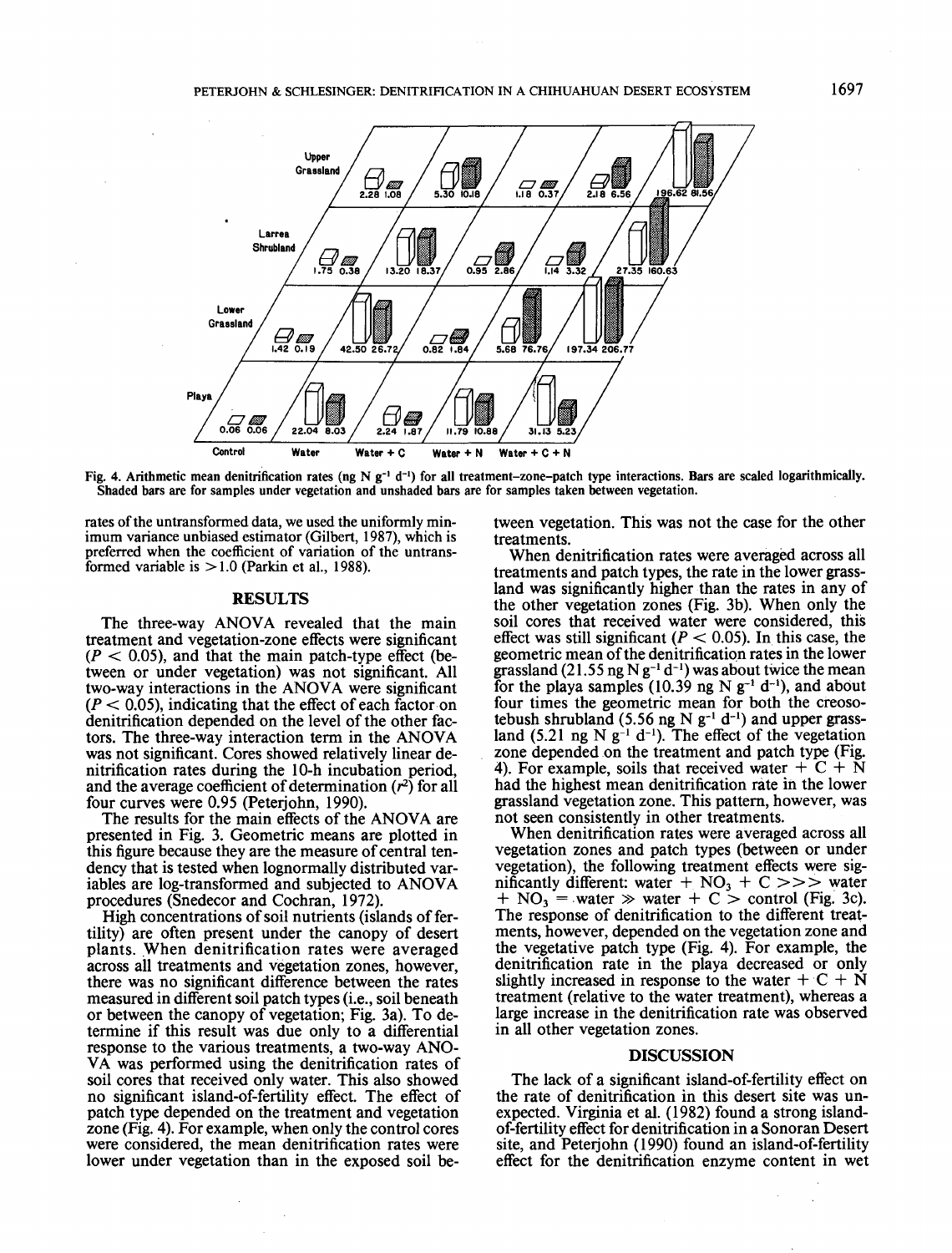

Fig. 4. Arithmetic mean denitrification rates (ng N g<sup>-1</sup> d<sup>-1</sup>) for all treatment-zone-patch type interactions. Bars are scaled logarithmically. Shaded bars are for samples under vegetation and unshaded bars are for samples taken between vegetation.

rates of the untransformed data, we used the uniformly minimum variance unbiased estimator (Gilbert, 1987), which is preferred when the coefficient of variation of the untransformed variable is  $>1.0$  (Parkin et al., 1988).

### **RESULTS**

The three-way ANOVA revealed that the main treatment and vegetation-zone effects were significant  $(P < 0.05)$ , and that the main patch-type effect (between or under vegetation) was not significant. All two-way interactions in the ANOVA were significant *(P <* 0.05), indicating that the effect of each factor on denitrification depended on the level of the other factors. The three-way interaction term in the ANOVA was not significant. Cores showed relatively linear denitrification rates during the 10-h incubation period, and the average coefficient of determination  $(r^2)$  for all four curves were 0.95 (Peterjohn, 1990).

The results for the main effects of the ANOVA are presented in Fig. 3. Geometric means are plotted in this figure because they are the measure of central tendency that is tested when lognormally distributed variables are log-transformed and subjected to ANOVA procedures (Snedecor and Cochran, 1972).

High concentrations of soil nutrients (islands of fertility) are often present under the canopy of desert plants. When denitrification rates were averaged across all treatments and vegetation zones, however, there was no significant difference between the rates measured in different soil patch types (i.e., soil beneath or between the canopy of vegetation; Fig. 3a). To determine if this result was due only to a differential response to the various treatments, a two-way ANO-VA was performed using the denitrification rates of soil cores that received only water. This also showed no significant island-of-fertility effect. The effect of patch type depended on the treatment and vegetation zone (Fig. 4). For example, when only the control cores were considered, the mean denitrification rates were lower under vegetation than in the exposed soil between vegetation. This was not the case for the other treatments.

When denitrification rates were averaged across all treatments and patch types, the rate in the lower grassland was significantly higher than the rates in any of the other vegetation zones (Fig. 3b). When only the soil cores that received water were considered, this effect was still significant *(P <* 0.05). In this case, the geometric mean of the denitrification rates in the lower grassland  $(21.55 \text{ ng N g}^{-1} \text{d}^{-1})$  was about twice the mean for the playa samples (10.39 ng N  $g^{-1}$  d<sup>-1</sup>), and about four times the geometric mean for both the creosotebush shrubland  $(5.56 \text{ ng N g}^{-1} \text{ d}^{-1})$  and upper grassland  $(5.21 \text{ ng N g}^{-1} \text{ d}^{-1})$ . The effect of the vegetation zone depended on the treatment and patch type (Fig. 4). For example, soils that received water  $+ C + N$ had the highest mean denitrification rate in the lower grassland vegetation zone. This pattern, however, was not seen consistently in other treatments.

When denitrification rates were averaged across all vegetation zones and patch types (between or under vegetation), the following treatment effects were significantly different: water +  $NO<sub>3</sub> + C$  >>> water  $+ NO_3$  = water  $\gg$  water  $+ C >$  control (Fig. 3c). The response of denitrification to the different treatments, however, depended on the vegetation zone and the vegetative patch type (Fig. 4). For example, the denitrification rate in the playa decreased or only slightly increased in response to the water  $+ C + N$ treatment (relative to the water treatment), whereas a large increase in the denitrification rate was observed in all other vegetation zones.

# **DISCUSSION**

The lack of a significant island-of-fertility effect on the rate of denitrification in this desert site was unexpected. Virginia et al. (1982) found a strong islandof-fertility effect for denitrification in a Sonoran Desert site, and Peterjohn (1990) found an island-of-fertility effect for the denitrification enzyme content in wet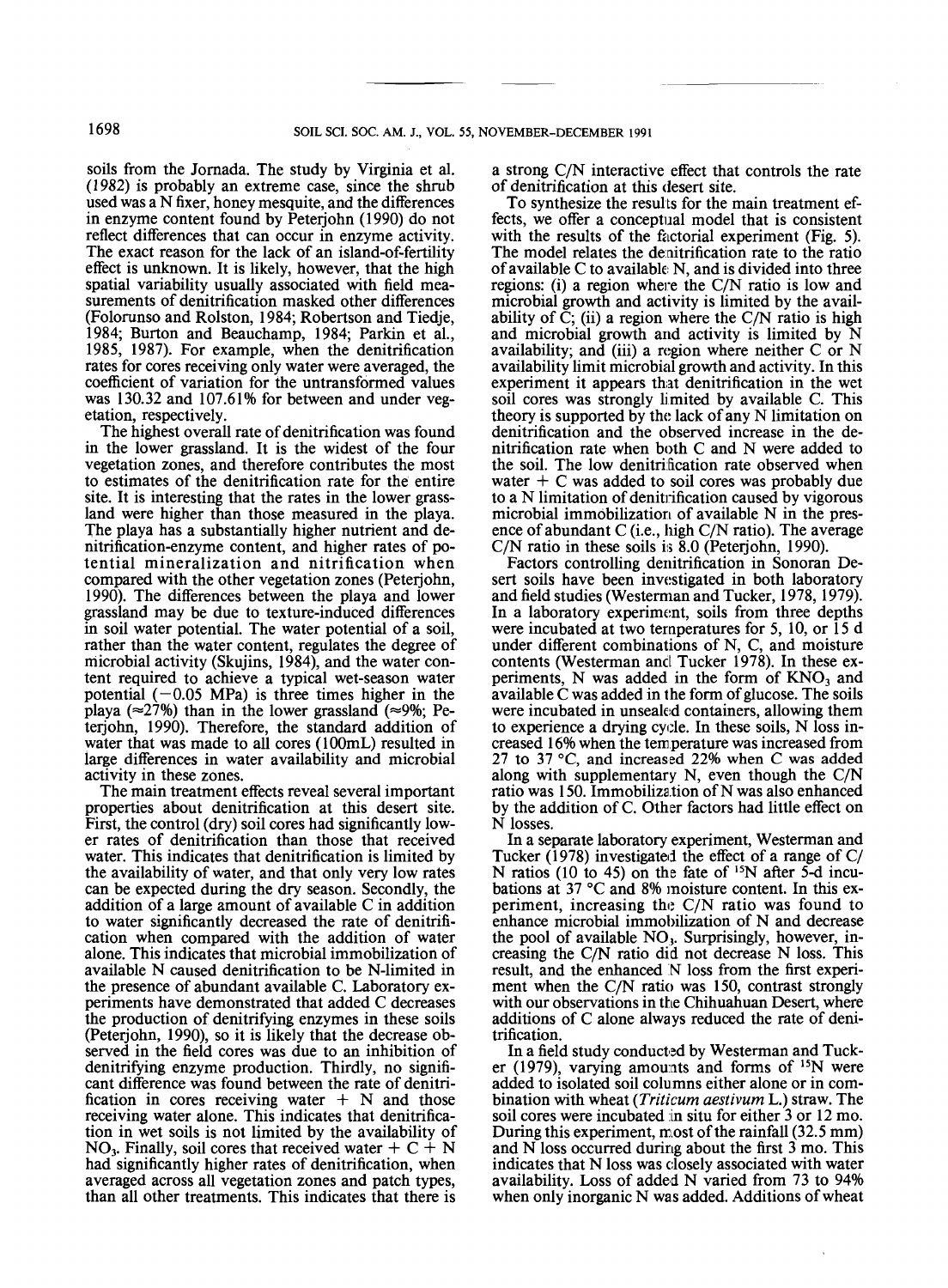soils from the Jornada. The study by Virginia et al. (1982) is probably an extreme case, since the shrub used was a N fixer, honey mesquite, and the differences in enzyme content found by Peterjohn (1990) do not reflect differences that can occur in enzyme activity. The exact reason for the lack of an island-of-fertility effect is unknown. It is likely, however, that the high spatial variability usually associated with field measurements of denitrification masked other differences (Folorunso and Rolston, 1984; Robertson and Tiedje, 1984; Burton and Beauchamp, 1984; Parkin et al., 1985, 1987). For example, when the denitrification rates for cores receiving only water were averaged, the coefficient of variation for the untransformed values was 130.32 and 107.61% for between and under vegetation, respectively.

The highest overall rate of denitrification was found in the lower grassland. It is the widest of the four vegetation zones, and therefore contributes the most to estimates of the denitrification rate for the entire site. It is interesting that the rates in the lower grassland were higher than those measured in the playa. The playa has a substantially higher nutrient and denitrification-enzyme content, and higher rates of potential mineralization and nitrification when compared with the other vegetation zones (Peterjohn, 1990). The differences between the playa and lower grassland may be due to texture-induced differences in soil water potential. The water potential of a soil, rather than the water content, regulates the degree of microbial activity (Skujins, 1984), and the water content required to achieve a typical wet-season water potential  $(-0.05 \text{ MPa})$  is three times higher in the playa ( $\approx$ 27%) than in the lower grassland ( $\approx$ 9%; Peterjohn, 1990). Therefore, the standard addition of water that was made to all cores (100mL) resulted in large differences in water availability and microbial activity in these zones.

The main treatment effects reveal several important properties about denitrification at this desert site. First, the control (dry) soil cores had significantly lower rates of denitrification than those that received water. This indicates that denitrification is limited by the availability of water, and that only very low rates can be expected during the dry season. Secondly, the addition of a large amount of available C in addition to water significantly decreased the rate of denitrification when compared with the addition of water alone. This indicates that microbial immobilization of available N caused denitrification to be N-limited in the presence of abundant available C. Laboratory experiments have demonstrated that added C decreases the production of denitrifying enzymes in these soils (Peterjohn, 1990), so it is likely that the decrease observed in the field cores was due to an inhibition of denitrifying enzyme production. Thirdly, no significant difference was found between the rate of denitrification in cores receiving water  $+$  N and those receiving water alone. This indicates that denitrification in wet soils is not limited by the availability of  $NO<sub>3</sub>$ . Finally, soil cores that received water  $+ C + N$ had significantly higher rates of denitrification, when averaged across all vegetation zones and patch types, than all other treatments. This indicates that there is

a strong C/N interactive effect that controls the rate of denitrification at this desert site.

To synthesize the results for the main treatment effects, we offer a conceptual model that is consistent with the results of the factorial experiment (Fig. 5). The model relates the denitrification rate to the ratio of available C to available: N, and is divided into three regions: (i) a region where the C/N ratio is low and microbial growth and activity is limited by the availability of  $\check{C}$ ; (ii) a region where the  $C/N$  ratio is high and microbial growth and activity is limited by N availability; and (iii) a region where neither  $C$  or  $N$ availability limit microbial growth and activity. In this experiment it appears that denitrification in the wet soil cores was strongly limited by available C. This theory is supported by the lack of any N limitation on denitrification and the observed increase in the denitrification rate when both C and N were added to the soil. The low denitrification rate observed when water  $+ C$  was added to soil cores was probably due to a N limitation of denitrification caused by vigorous microbial immobilization of available N in the presence of abundant C (i.e., high C/N ratio). The average  $C/N$  ratio in these soils is 8.0 (Peterjohn, 1990).

Factors controlling denitrification in Sonoran Desert soils have been investigated in both laboratory and field studies (Westerman and Tucker, 1978,1979). In a laboratory experiment, soils from three depths were incubated at two temperatures for 5, 10, or 15 d under different combinations of N, C, and moisture contents (Westerman and Tucker 1978). In these experiments, N was added in the form of KNO<sub>3</sub> and available C was added in the form of glucose. The soils were incubated in unsealed containers, allowing them to experience a drying cycle. In these soils, N loss increased 16% when the temperature was increased from 27 to 37 °C, and increased 22% when C was added along with supplementary N, even though the C/N ratio was 150. Immobilization of N was also enhanced by the addition of C. Other factors had little effect on N losses.

In a separate laboratory experiment, Westerman and Tucker (1978) investigated the effect of a range of C/ N ratios (10 to 45) on the fate of <sup>15</sup>N after 5-d incubations at 37 °C and 8% moisture content. In this experiment, increasing the C/N ratio was found to enhance microbial immobilization of N and decrease the pool of available NO,. Surprisingly, however, increasing the C/N ratio did not decrease N loss. This result, and the enhanced N loss from the first experiment when the C/N ratio was 150, contrast strongly with our observations in the Chihuahuan Desert, where additions of C alone always reduced the rate of denitrification.

In a field study conducted by Westerman and Tucker  $(1979)$ , varying amounts and forms of  $15N$  were added to isolated soil columns either alone or in combination with wheat *(Triticum aestivum* L.) straw. The soil cores were incubated in situ for either 3 or 12 mo. During this experiment, most of the rainfall (32.5 mm) and N loss occurred during about the first 3 mo. This indicates that N loss was closely associated with water availability. Loss of added N varied from 73 to 94% when only inorganic N was added. Additions of wheat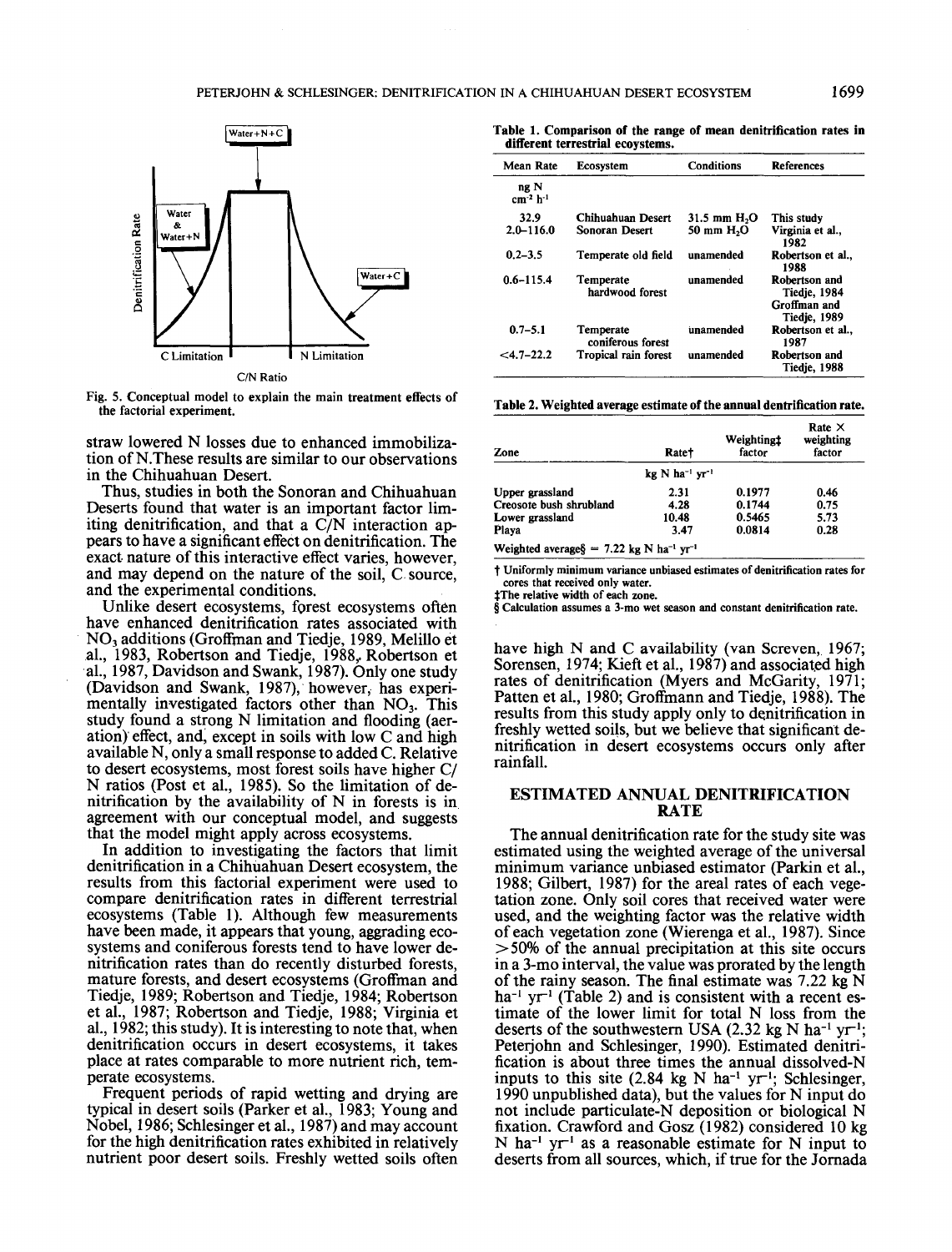

**Fig. 5. Conceptual model to explain the main treatment effects of the factorial experiment.**

straw lowered N losses due to enhanced immobilization of N.These results are similar to our observations in the Chihuahuan Desert.

Thus, studies in both the Sonoran and Chihuahuan Deserts found that water is an important factor limiting denitrification, and that a  $\overline{C/N}$  interaction appears to have a significant effect on denitrification. The exact nature of this interactive effect varies, however, and may depend on the nature of the soil, C source, and the experimental conditions.

Unlike desert ecosystems, forest ecosystems often have enhanced denitrification rates associated with NO3 additions (Groffman and Tiedje, 1989, Melillo et al., 1983, Robertson and Tiedje, 1988,. Robertson et al., 1987, Davidson and Swank, 1987). Only one study (Davidson and Swank, 1987), however, has experimentally investigated factors other than  $NO<sub>3</sub>$ . This study found a strong N limitation and flooding (aeration) effect, and, except in soils with low C and high available N, only a small response to added C. Relative to desert ecosystems, most forest soils have higher C/ N ratios (Post et al., 1985). So the limitation of denitrification by the availability of N in forests is in agreement with our conceptual model, and suggests that the model might apply across ecosystems.

In addition to investigating the factors that limit denitrification in a Chihuahuan Desert ecosystem, the results from this factorial experiment were used to compare denitrification rates in different terrestrial ecosystems (Table 1). Although few measurements have been made, it appears that young, aggrading ecosystems and coniferous forests tend to have lower denitrification rates than do recently disturbed forests, mature forests, and desert ecosystems (Groffman and Tiedje, 1989; Robertson and Tiedje, 1984; Robertson et al., 1987; Robertson and Tiedje, 1988; Virginia et al., 1982; this study). It is interesting to note that, when denitrification occurs in desert ecosystems, it takes place at rates comparable to more nutrient rich, temperate ecosystems.

Frequent periods of rapid wetting and drying are typical in desert soils (Parker et al., 1983; Young and Nobel, 1986; Schlesinger et al., 1987) and may account for the high denitrification rates exhibited in relatively nutrient poor desert soils. Freshly wetted soils often

**Table 1. Comparison of the range of mean denitrification rates in different terrestrial ecoystems.**

| <b>Mean Rate</b>         | Ecosystem                      | <b>Conditions</b>      | <b>References</b>                                                    |  |
|--------------------------|--------------------------------|------------------------|----------------------------------------------------------------------|--|
| ng N<br>$cm^{-2} h^{-1}$ |                                |                        |                                                                      |  |
| 32.9                     | <b>Chihuahuan Desert</b>       | $31.5 \text{ mm H}2$   | This study                                                           |  |
| $2.0 - 116.0$            | Sonoran Desert                 | 50 mm H <sub>2</sub> O | Virginia et al.,<br>1982                                             |  |
| $0.2 - 3.5$              | Temperate old field            | unamended              | Robertson et al.,<br>1988                                            |  |
| $0.6 - 115.4$            | Temperate<br>hardwood forest   | unamended              | Robertson and<br>Tiedie, 1984<br>Groffman and<br><b>Tiedje, 1989</b> |  |
| $0.7 - 5.1$              | Temperate<br>coniferous forest | unamended              | Robertson et al.,<br>1987                                            |  |
| $<$ 4.7-22.2             | Tropical rain forest           | unamended              | Robertson and<br>Tiedie, 1988                                        |  |

**Table 2. Weighted average estimate of the annual dentriflcation rate.**

| Zone                                                             | Ratet                                                                                    | Weightingt<br>factor | Rate $\times$<br>weighting<br>factor |
|------------------------------------------------------------------|------------------------------------------------------------------------------------------|----------------------|--------------------------------------|
|                                                                  | $\mathbf{k} \mathbf{g} \mathbf{N} \mathbf{h} \mathbf{a}^{-1} \mathbf{v} \mathbf{r}^{-1}$ |                      |                                      |
| Upper grassland                                                  | 2.31                                                                                     | 0.1977               | 0.46                                 |
| Creosote bush shrubland                                          | 4.28                                                                                     | 0.1744               | 0.75                                 |
| Lower grassland                                                  | 10.48                                                                                    | 0.5465               | 5.73                                 |
| Playa                                                            | 3.47                                                                                     | 0.0814               | 0.28                                 |
| Weighted average $= 7.22$ kg N ha <sup>-1</sup> vr <sup>-1</sup> |                                                                                          |                      |                                      |

**t Uniformly minimum variance unbiased estimates of denitrification rates for cores that received only water.**

*ffhe* **relative width of each zone.**

**§ Calculation assumes a 3-mo wet season and constant denitrification rate.**

have high N and C availability (van Screven, 1967; Sorensen, 1974; Kieft et al., 1987) and associated high rates of denitrification (Myers and McGarity, 1971; Patten et al., 1980; Groffmann and Tiedje, 1988). The results from this study apply only to denitrification in freshly wetted soils, but we believe that significant denitrification in desert ecosystems occurs only after rainfall.

# **ESTIMATED ANNUAL DENITRIFICATION RATE**

The annual denitrification rate for the study site was estimated using the weighted average of the universal minimum variance unbiased estimator (Parkin et al., 1988; Gilbert, 1987) for the areal rates of each vegetation zone. Only soil cores that received water were used, and the weighting factor was the relative width of each vegetation zone (Wierenga et al., 1987). Since >50% of the annual precipitation at this site occurs in a 3-mo interval, the value was prorated by the length of the rainy season. The final estimate was 7.22 kg N  $ha^{-1}$  yr<sup>-1</sup> (Table 2) and is consistent with a recent estimate of the lower limit for total N loss from the deserts of the southwestern USA  $(2.32 \text{ kg N ha}^{-1} \text{ yr}^{-1})$ ; Peterjohn and Schlesinger, 1990). Estimated denitrification is about three times the annual dissolved-N inputs to this site  $(2.84 \text{ kg N} \text{ ha}^{-1} \text{ yr}^{-1})$ ; Schlesinger, 1990 unpublished data), but the values for N input do not include particulate-N deposition or biological N fixation. Crawford and Gosz (1982) considered 10 kg  $N$  ha<sup>-1</sup> yr<sup>-1</sup> as a reasonable estimate for N input to deserts from all sources, which, if true for the Jornada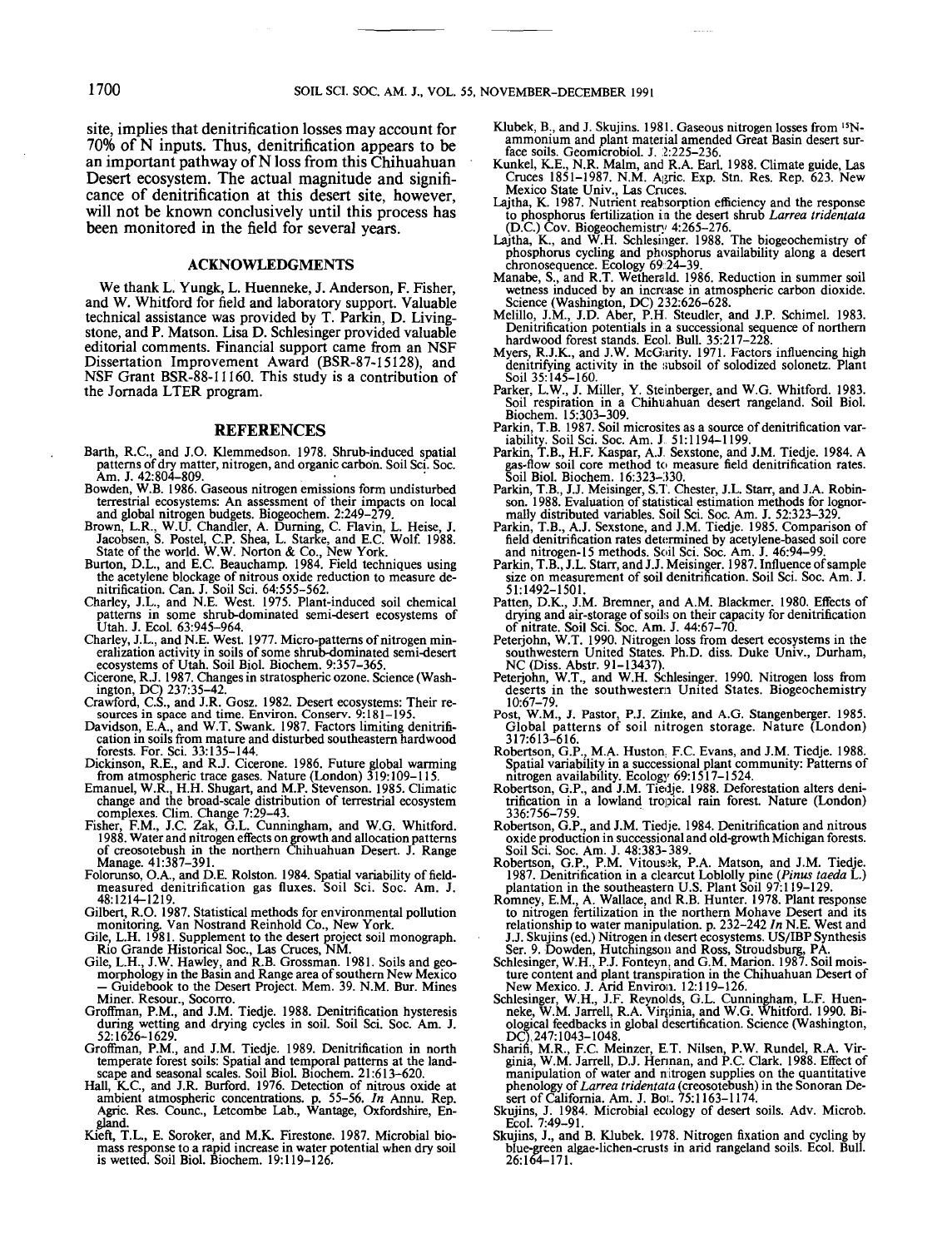site, implies that denitrification losses may account for 70% of N inputs. Thus, denitrification appears to be an important pathway of N loss from this Chihuahuan Desert ecosystem. The actual magnitude and significance of denitrification at this desert site, however, will not be known conclusively until this process has been monitored in the field for several years.

# **ACKNOWLEDGMENTS**

We thank L. Yungk, L. Huenneke, J. Anderson, F. Fisher, and W. Whitford for field and laboratory support. Valuable technical assistance was provided by T. Parkin, D. Livingstone, and P. Matson. Lisa D. Schlesinger provided valuable editorial comments. Financial support came from an NSF Dissertation Improvement Award (BSR-87-15128), and NSF Grant BSR-88-11160. This study is a contribution of the Jornada LTER program.

#### **REFERENCES**

- Barth, R.C., and J.O. Klemmedson. 1978. Shrub-induced spatial<br>patterns of dry matter, nitrogen, and organic carbon. Soil Sci. Soc.<br>Am. J. 42:804–809.<br>Bowden, W.B. 1986. Gaseous nitrogen emissions form undisturbed
- 
- Bowden, w.b. 1780. Gasebus mulger einststons form understand ecosystems: An assessment of their impacts on local<br>and global nitrogen budgets. Biogeochem. 2:249–279.<br>Brown, L.R., W.U. Chandler, A. Durning, C. Flavin, L. Hei
- the acetylene blockage of nitrous oxide reduction to measure de-<br>nitrification. Can. J. Soil Sci. 64:555-562.<br>Charley, J.L., and N.E. West. 1975. Plant-induced soil chemical
- patterns in some shrub-dominated semi-desert ecosystems of<br>Utah. J. Ecol. 63:945-964.<br>Charley, J.L., and N.E. West. 1977. Micro-patterns of nitrogen min-
- eralization activity in soils of some shrub-dominated semi-desert<br>ecosystems of Utah. Soil Biol. Biochem. 9:357-365.
- Cicerone, R.J. 1987. Changes in stratospheric ozone. Science (Wash-
- 
- Cicerone, K.J. 1967. Changes in survey heave vertex extensions.<br>
Ington, DC, 237:35-42.<br>
Crawford, C.S., and J.R. Gosz. 1982. Desert ecosystems: Their re-<br>
sources in space and time. Environ. Conserv. 9:181-195.<br>
Davidson,
- 
- 
- cation in soils from mature and disturbed southeastern hardwood<br>forests. For. Sci. 33:135-144.<br>Dickinson, R.E., and R.J. Cicerone. 1986. Future global warming<br>from atmospheric trace gases. Nature (London) 319:109-115.<br>Eman
- Folorunso, O.A., and D.E. Rolston. 1984. Spatial variability of fieldmeasured denitrification gas fluxes. Soil Sci. Soc. Am. J. 48:1214-1219.
- Gilbert, R.O. 1987. Statistical methods for environmental pollution
- monitoring. Van Nostrand Reinhold Co., New York.<br>The Contribution of the Control of Control of Control Control Control Control Control Control Control Control Control Control Control Rio Grande Historical Soc., Las Cruces,
- morphology in the Basin and Range area of southern New Mexico Guidebook to the Desert Project. Mem. 39. N.M. Bur. Mines Miner. Resour., Socorro.
- Groffman, P.M., and J.M. Tiedje. 1988. Denitrification hysteresis during wetting and drying cycles in soil. Soil Sci. Soc. Am. J.<br>52:1626–1629.
- Groffman, P.M., and J.M. Tiedje. 1989. Denitrification in north temperate forest soils: Spatial and temporal patterns at the land-
- scape and seasonal scales. Soil Biol. Biochem. 21:613-620.<br>Hall, K.C., and J.R. Burford. 1976. Detection of nitrous oxide at<br>ambient atmospheric concentrations. p. 55-56. In Annu. Rep.<br>Agric. Res. Counc., Letcombe Lab., Wa gland.
- Kieft, T.L., E. Soroker, and M.K. Firestone. 1987. Microbial biomass response to a rapid increase in water potential when dry soil<br>is wetted. Soil Biol. Biochem. 19:119-126.
- 
- Klubek, B., and J. Skujins. 1981. Gaseous nitrogen losses from <sup>15</sup>N-<br>ammonium and plant material amended Great Basin desert sur-<br>face soils. Geomicrobiol. J. 2:225–236.<br>Kunkel, K.E., N.R. Malm, and R.A. Earl. 1988. Climat
- Lajtha, K. 1987. Nutrient reabsorption efficiency and the response to phosphorus fertilization in the desert shrub Larrea tridentata (D.C.) Cov. Biogeochemistry 4:265-276. Lajtha, K., and W.H. Schlesinger. 1988. The biogeochemistry of
- phosphorus cycling and phosphorus availability along a desert<br>chronosequence. Ecology 69:24–39.<br>Manabe, S., and R.T. Wetherald. 1986. Reduction in summer soil
- wetness induced by an increase in atmospheric carbon dioxide.<br>Science (Washington, DC) 232:626-628.<br>Melillo, J.M., J.D. Aber, P.H. Steudler, and J.P. Schimel. 1983.
- Denitrification potentials in a successional sequence of northern<br>hardwood forest stands. Ecol. Bull. 35:217-228.
- Myers, R.J.K., and J.W. McGarity. 1971. Factors influencing high denitrifying activity in the subsoil of solodized solonetz. Plant<br>Soil 35:145-160.<br>Parker, L.W., J. Miller, Y. Steinberger, and W.G. Whitford. 1983.
- Soil respiration in a Chihuahuan desert rangeland. Soil Biol.<br>Biochem. 15:303-309.
- 
- Biochem. 15:303–309.<br>
Parkin, T.B. 1987. Soil microsites as a source of denitrification variability. Soil Sci. Soc. Am. J. 51:1194–1199.<br>
Takin, T.B., H.F. Kaspar, A.J. Sexstone, and J.M. Tiedje. 1984. A<br>
gas-flow soil cor
- 
- and nitrogen-15 methods. Soil Sci. Soc. Am. J. 46:94-99.<br>Parkin, T.B., J.L. Starr, and J.J. Meisinger. 1987. Influence of sample
- size on measurement of soil denitrification. Soil Sci. Soc. Am. J. 51:1492-1501.
- Patten, D.K., J.M. Bremner, and A.M. Blackmer. 1980. Effects of drying and air-storage of soils on their capacity for denitrification of nitrate. Soil Sci. Soc. Am. J. 44:67-70.<br>Peterjohn, W.T. 1990. Nitrogen loss from desert ecosystems in the
- southwestern United States. Ph.D. diss. Duke Univ., Durham, NC (Diss. Abstr. 91–13437).<br>Peterjohn, W.T., and W.H. Schlesinger, 1990. Nitrogen loss from
- deserts in the southwestern United States. Biogeochemistry
- 10:67-79.<br>
Post, W.M., J. Pastor, P.J. Zinke, and A.G. Stangenberger. 1985.<br>
Global patterns of soil nitrogen storage. Nature (London)<br>
317:613-616.<br>
A M. Huston F.C. Evans, and J.M. Tiedje. 1988.
- 
- Robertson, G.P., M.A. Huston, F.C. Evans, and J.M. Tiedje. 1988.<br>Spatial variability in a successional plant community: Patterns of<br>nitrogen availability. Ecology 69:1517–1524.<br>Robertson, G.P., and J.M. Tiedje. 1988. Defo
- Robertson, G.P., and J.M. Tiedje. 1984. Denitrification and nitrous<br>oxide production in successional and old-growth Michigan forests.<br>Soil Sci. Soc. Am. J. 48:383-389.<br>Robertson, G.P., P.M. Vitousek, P.A. Matson, and J.M.
- 1987. Denitrification in a clearcut Loblolly pine (*Pinus taeda* L.)<br>plantation in the southeastern U.S. Plant Soil 97:119–129.
- plantation in the southeaster of U.S. Flant Southern H. P. 25.<br>Romey, E.M., A. Wallace, and R.B. Hunter. 1978. Plant response<br>to nitrogen fertilization in the northern Mohave Desert and its<br>relationship to water manipulati Ser. 9. Dowden, Hutchingson and Ross, Stroudsburg, PA.<br>Schlesinger, W.H., P.J. Fonteyn, and G.M. Marion. 1987. Soil mois-
- ture content and plant transpiration in the Chihuahuan Desert of
- New Mexico. J. Arid Environ. 12:119-126.<br>Schlesinger, W.H., J.F. Reynolds, G.L. Cunningham, L.F. Huenneke, W.M. Jarrell, R.A. Virginia, and W.G. Whitford. 1990. Biological feedbacks in global desertification. Science (Washington, DC) 247:1043-1048.
- Sharifi, M.R., F.C. Meinzer, E.T. Nilsen, P.W. Rundel, R.A. Virginia, W.M. Jarrell, D.J. Herinan, and P.C. Clark. 1988. Effect of manipulation of water and nitrogen supplies on the quantitative mampuration of water and fittrogen supplies on the quantitative<br>phenology of *Larrea tridentata (creosotebush)* in the Sonoran Desert of California. Am. J. Bot. 75:1163-1174.<br>Skujins, J. 1984. Microbial ecology of desert
- 
- Skujins, J., and B. Klubek. 1978. Nitrogen fixation and cycling by blue-green algae-lichen-crusts in arid rangeland soils. Ecol. Bull.<br>26:164-171.